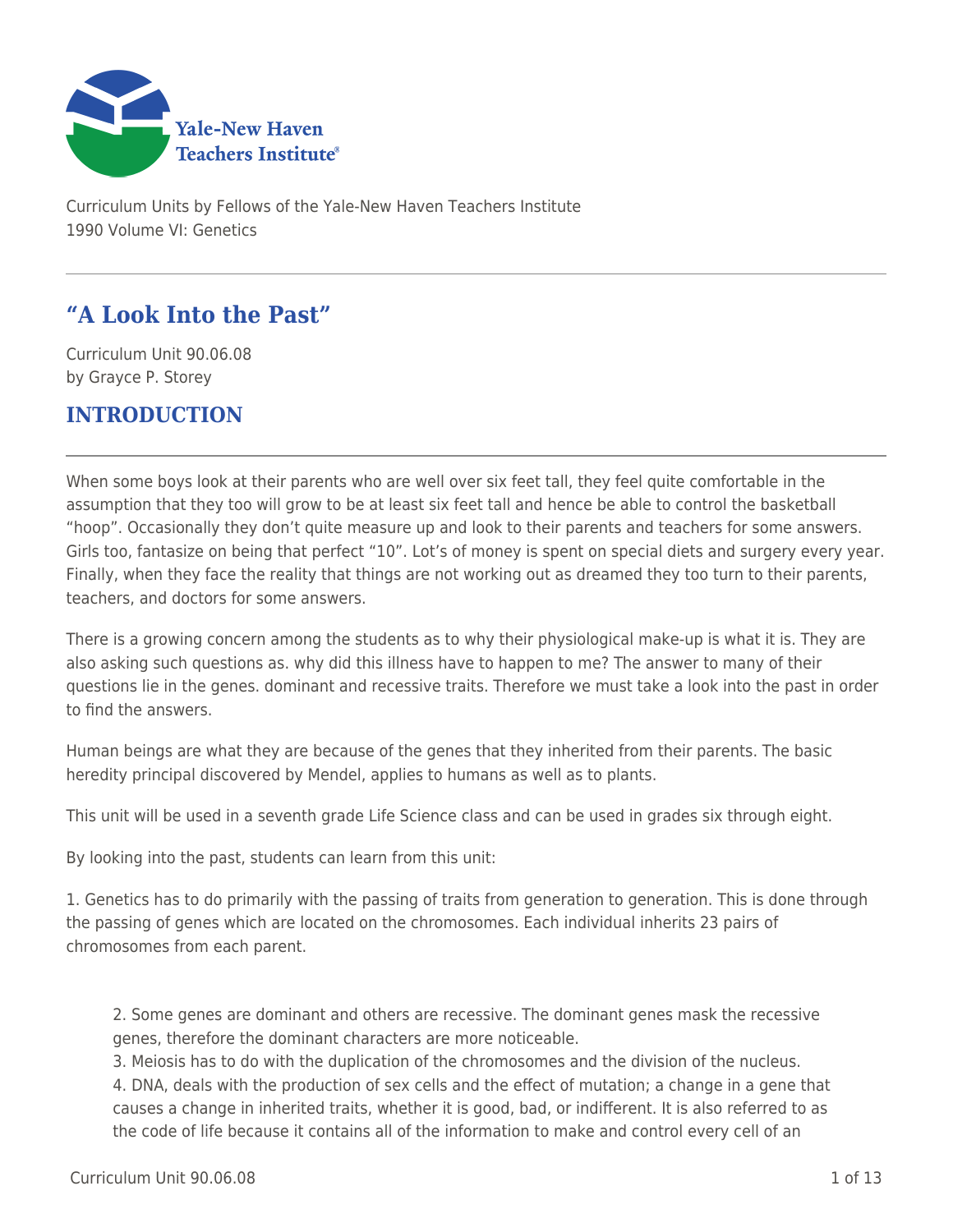

Curriculum Units by Fellows of the Yale-New Haven Teachers Institute 1990 Volume VI: Genetics

# **"A Look Into the Past"**

Curriculum Unit 90.06.08 by Grayce P. Storey

# **INTRODUCTION**

When some boys look at their parents who are well over six feet tall, they feel quite comfortable in the assumption that they too will grow to be at least six feet tall and hence be able to control the basketball "hoop". Occasionally they don't quite measure up and look to their parents and teachers for some answers. Girls too, fantasize on being that perfect "10". Lot's of money is spent on special diets and surgery every year. Finally, when they face the reality that things are not working out as dreamed they too turn to their parents, teachers, and doctors for some answers.

There is a growing concern among the students as to why their physiological make-up is what it is. They are also asking such questions as. why did this illness have to happen to me? The answer to many of their questions lie in the genes. dominant and recessive traits. Therefore we must take a look into the past in order to find the answers.

Human beings are what they are because of the genes that they inherited from their parents. The basic heredity principal discovered by Mendel, applies to humans as well as to plants.

This unit will be used in a seventh grade Life Science class and can be used in grades six through eight.

By looking into the past, students can learn from this unit:

1. Genetics has to do primarily with the passing of traits from generation to generation. This is done through the passing of genes which are located on the chromosomes. Each individual inherits 23 pairs of chromosomes from each parent.

2. Some genes are dominant and others are recessive. The dominant genes mask the recessive genes, therefore the dominant characters are more noticeable.

3. Meiosis has to do with the duplication of the chromosomes and the division of the nucleus.

4. DNA, deals with the production of sex cells and the effect of mutation; a change in a gene that causes a change in inherited traits, whether it is good, bad, or indifferent. It is also referred to as the code of life because it contains all of the information to make and control every cell of an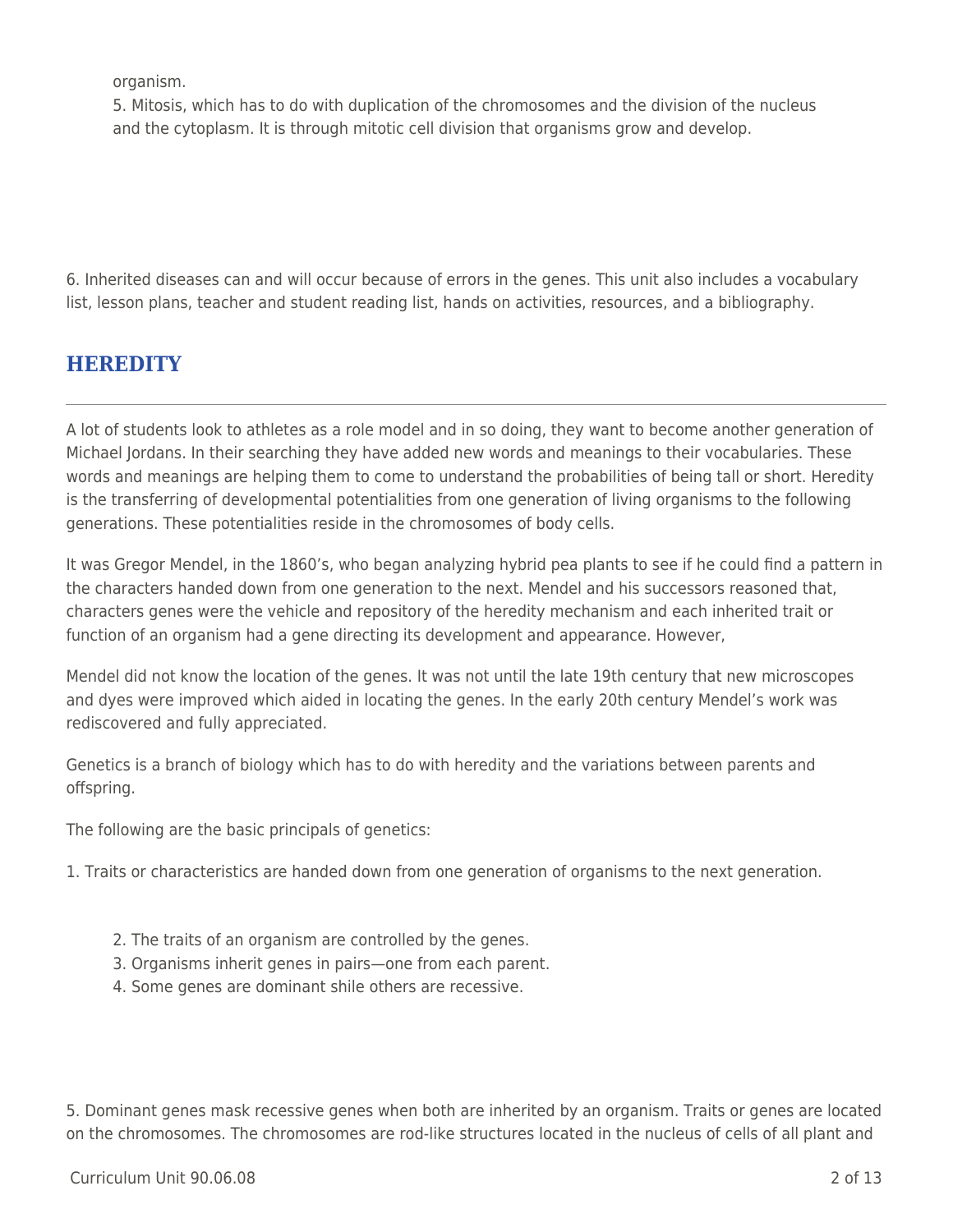organism.

5. Mitosis, which has to do with duplication of the chromosomes and the division of the nucleus and the cytoplasm. It is through mitotic cell division that organisms grow and develop.

6. Inherited diseases can and will occur because of errors in the genes. This unit also includes a vocabulary list, lesson plans, teacher and student reading list, hands on activities, resources, and a bibliography.

# **HEREDITY**

A lot of students look to athletes as a role model and in so doing, they want to become another generation of Michael Jordans. In their searching they have added new words and meanings to their vocabularies. These words and meanings are helping them to come to understand the probabilities of being tall or short. Heredity is the transferring of developmental potentialities from one generation of living organisms to the following generations. These potentialities reside in the chromosomes of body cells.

It was Gregor Mendel, in the 1860's, who began analyzing hybrid pea plants to see if he could find a pattern in the characters handed down from one generation to the next. Mendel and his successors reasoned that, characters genes were the vehicle and repository of the heredity mechanism and each inherited trait or function of an organism had a gene directing its development and appearance. However,

Mendel did not know the location of the genes. It was not until the late 19th century that new microscopes and dyes were improved which aided in locating the genes. In the early 20th century Mendel's work was rediscovered and fully appreciated.

Genetics is a branch of biology which has to do with heredity and the variations between parents and offspring.

The following are the basic principals of genetics:

1. Traits or characteristics are handed down from one generation of organisms to the next generation.

- 2. The traits of an organism are controlled by the genes.
- 3. Organisms inherit genes in pairs—one from each parent.
- 4. Some genes are dominant shile others are recessive.

5. Dominant genes mask recessive genes when both are inherited by an organism. Traits or genes are located on the chromosomes. The chromosomes are rod-like structures located in the nucleus of cells of all plant and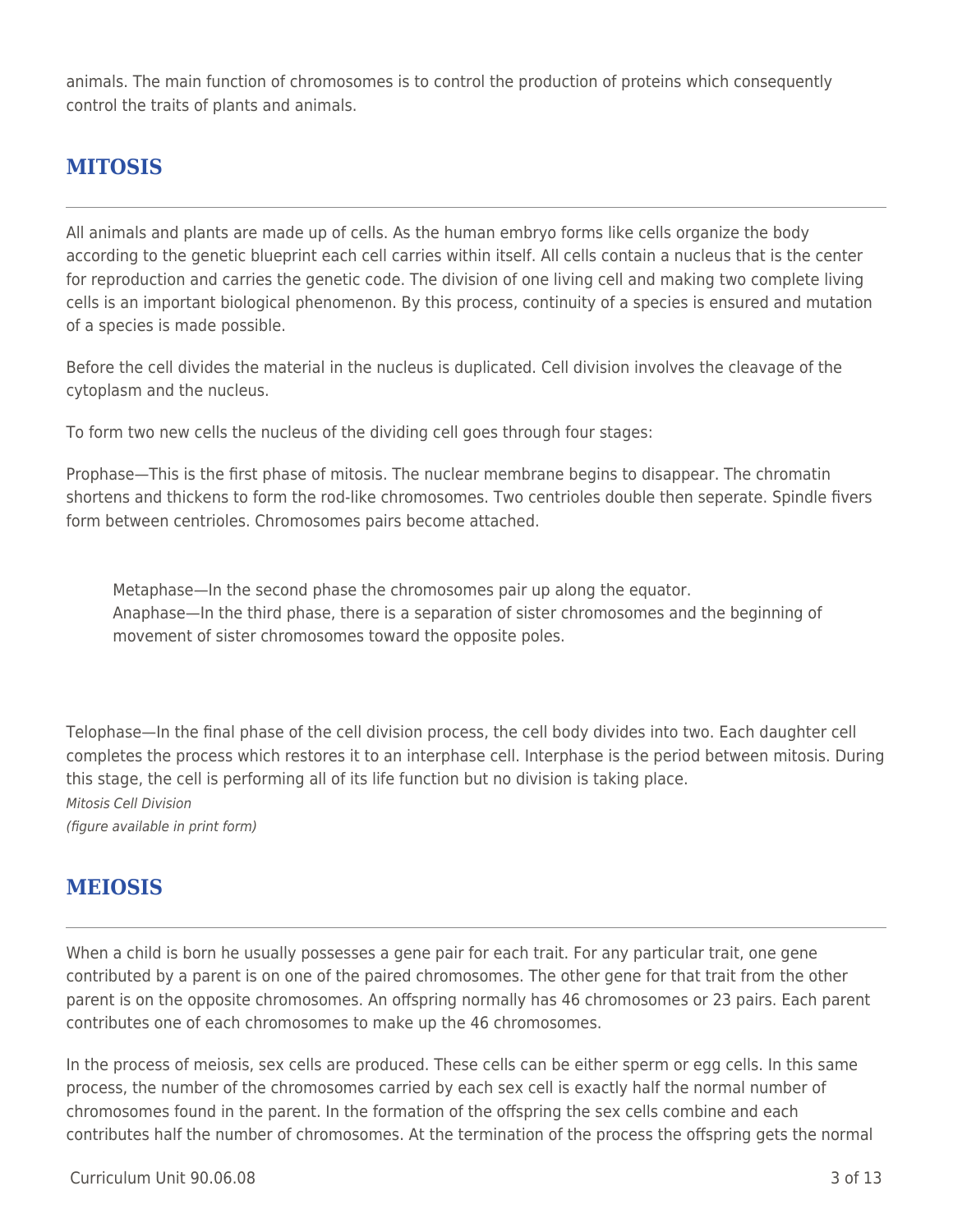animals. The main function of chromosomes is to control the production of proteins which consequently control the traits of plants and animals.

## **MITOSIS**

All animals and plants are made up of cells. As the human embryo forms like cells organize the body according to the genetic blueprint each cell carries within itself. All cells contain a nucleus that is the center for reproduction and carries the genetic code. The division of one living cell and making two complete living cells is an important biological phenomenon. By this process, continuity of a species is ensured and mutation of a species is made possible.

Before the cell divides the material in the nucleus is duplicated. Cell division involves the cleavage of the cytoplasm and the nucleus.

To form two new cells the nucleus of the dividing cell goes through four stages:

Prophase—This is the first phase of mitosis. The nuclear membrane begins to disappear. The chromatin shortens and thickens to form the rod-like chromosomes. Two centrioles double then seperate. Spindle fivers form between centrioles. Chromosomes pairs become attached.

Metaphase—In the second phase the chromosomes pair up along the equator. Anaphase—In the third phase, there is a separation of sister chromosomes and the beginning of movement of sister chromosomes toward the opposite poles.

Telophase—In the final phase of the cell division process, the cell body divides into two. Each daughter cell completes the process which restores it to an interphase cell. Interphase is the period between mitosis. During this stage, the cell is performing all of its life function but no division is taking place. Mitosis Cell Division (figure available in print form)

## **MEIOSIS**

When a child is born he usually possesses a gene pair for each trait. For any particular trait, one gene contributed by a parent is on one of the paired chromosomes. The other gene for that trait from the other parent is on the opposite chromosomes. An offspring normally has 46 chromosomes or 23 pairs. Each parent contributes one of each chromosomes to make up the 46 chromosomes.

In the process of meiosis, sex cells are produced. These cells can be either sperm or egg cells. In this same process, the number of the chromosomes carried by each sex cell is exactly half the normal number of chromosomes found in the parent. In the formation of the offspring the sex cells combine and each contributes half the number of chromosomes. At the termination of the process the offspring gets the normal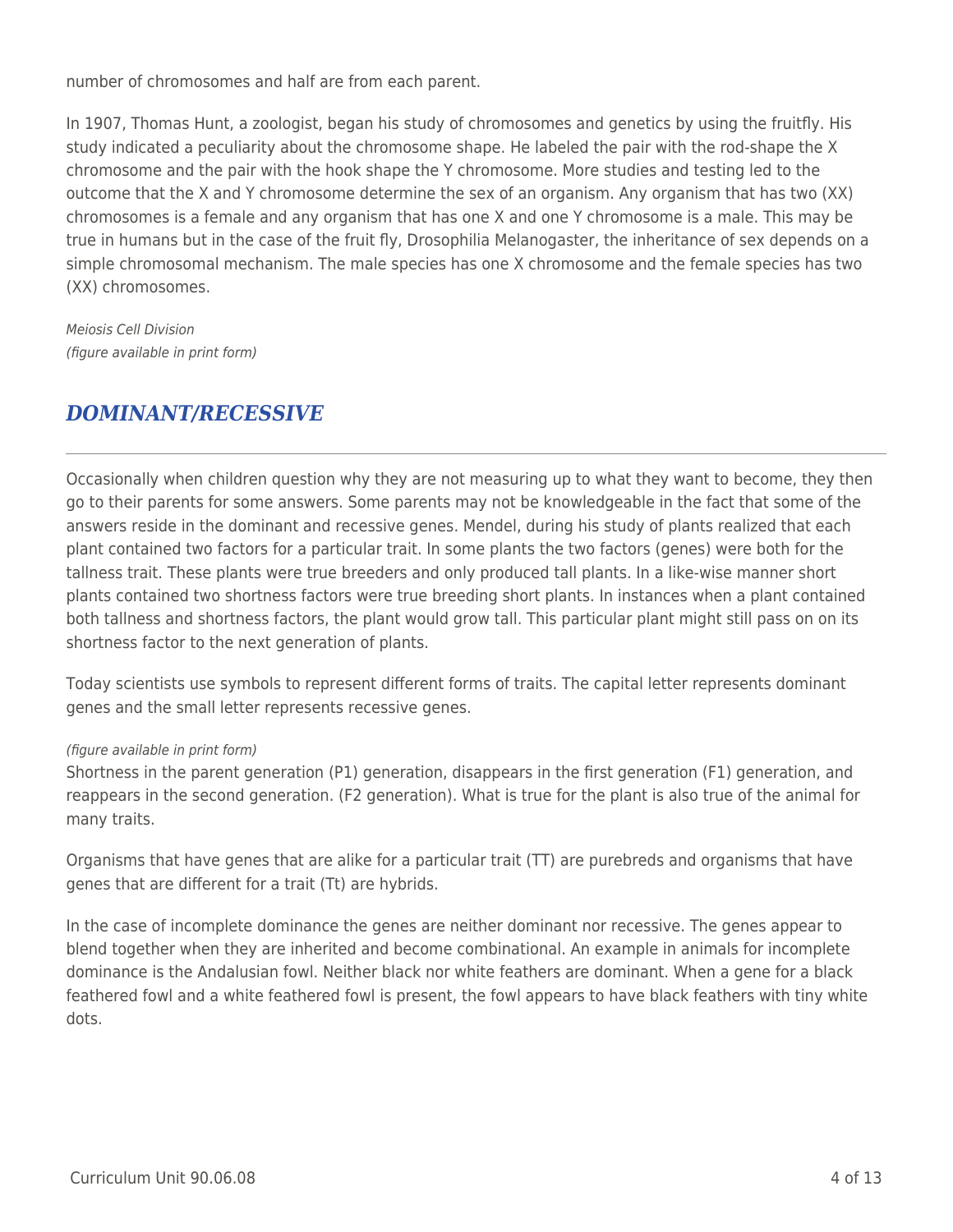number of chromosomes and half are from each parent.

In 1907, Thomas Hunt, a zoologist, began his study of chromosomes and genetics by using the fruitfly. His study indicated a peculiarity about the chromosome shape. He labeled the pair with the rod-shape the X chromosome and the pair with the hook shape the Y chromosome. More studies and testing led to the outcome that the X and Y chromosome determine the sex of an organism. Any organism that has two (XX) chromosomes is a female and any organism that has one X and one Y chromosome is a male. This may be true in humans but in the case of the fruit fly, Drosophilia Melanogaster, the inheritance of sex depends on a simple chromosomal mechanism. The male species has one X chromosome and the female species has two (XX) chromosomes.

Meiosis Cell Division (figure available in print form)

## *DOMINANT/RECESSIVE*

Occasionally when children question why they are not measuring up to what they want to become, they then go to their parents for some answers. Some parents may not be knowledgeable in the fact that some of the answers reside in the dominant and recessive genes. Mendel, during his study of plants realized that each plant contained two factors for a particular trait. In some plants the two factors (genes) were both for the tallness trait. These plants were true breeders and only produced tall plants. In a like-wise manner short plants contained two shortness factors were true breeding short plants. In instances when a plant contained both tallness and shortness factors, the plant would grow tall. This particular plant might still pass on on its shortness factor to the next generation of plants.

Today scientists use symbols to represent different forms of traits. The capital letter represents dominant genes and the small letter represents recessive genes.

### (figure available in print form)

Shortness in the parent generation (P1) generation, disappears in the first generation (F1) generation, and reappears in the second generation. (F2 generation). What is true for the plant is also true of the animal for many traits.

Organisms that have genes that are alike for a particular trait (TT) are purebreds and organisms that have genes that are different for a trait (Tt) are hybrids.

In the case of incomplete dominance the genes are neither dominant nor recessive. The genes appear to blend together when they are inherited and become combinational. An example in animals for incomplete dominance is the Andalusian fowl. Neither black nor white feathers are dominant. When a gene for a black feathered fowl and a white feathered fowl is present, the fowl appears to have black feathers with tiny white dots.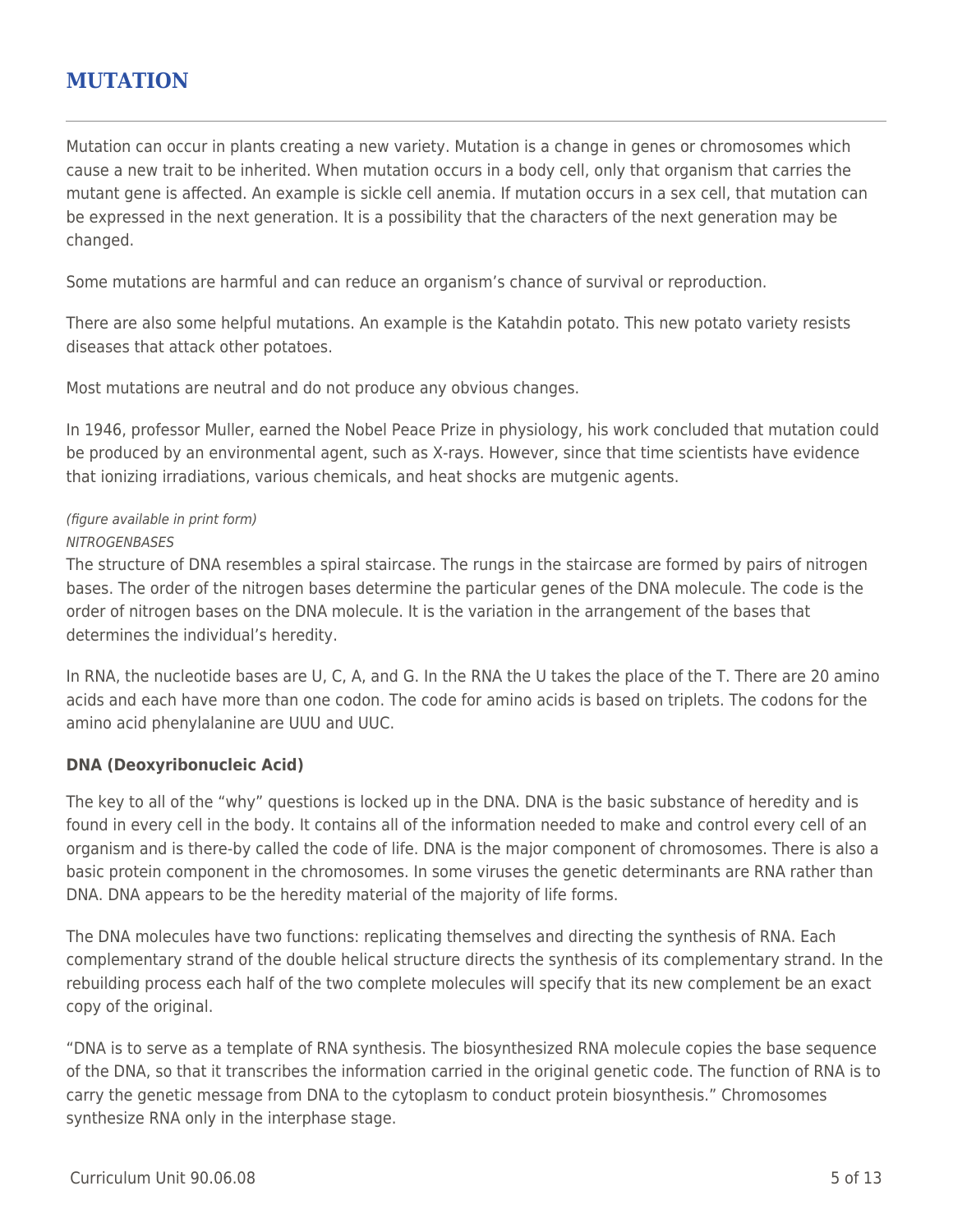## **MUTATION**

Mutation can occur in plants creating a new variety. Mutation is a change in genes or chromosomes which cause a new trait to be inherited. When mutation occurs in a body cell, only that organism that carries the mutant gene is affected. An example is sickle cell anemia. If mutation occurs in a sex cell, that mutation can be expressed in the next generation. It is a possibility that the characters of the next generation may be changed.

Some mutations are harmful and can reduce an organism's chance of survival or reproduction.

There are also some helpful mutations. An example is the Katahdin potato. This new potato variety resists diseases that attack other potatoes.

Most mutations are neutral and do not produce any obvious changes.

In 1946, professor Muller, earned the Nobel Peace Prize in physiology, his work concluded that mutation could be produced by an environmental agent, such as X-rays. However, since that time scientists have evidence that ionizing irradiations, various chemicals, and heat shocks are mutgenic agents.

### (figure available in print form)

### **NITROGENBASES**

The structure of DNA resembles a spiral staircase. The rungs in the staircase are formed by pairs of nitrogen bases. The order of the nitrogen bases determine the particular genes of the DNA molecule. The code is the order of nitrogen bases on the DNA molecule. It is the variation in the arrangement of the bases that determines the individual's heredity.

In RNA, the nucleotide bases are U, C, A, and G. In the RNA the U takes the place of the T. There are 20 amino acids and each have more than one codon. The code for amino acids is based on triplets. The codons for the amino acid phenylalanine are UUU and UUC.

### **DNA (Deoxyribonucleic Acid)**

The key to all of the "why" questions is locked up in the DNA. DNA is the basic substance of heredity and is found in every cell in the body. It contains all of the information needed to make and control every cell of an organism and is there-by called the code of life. DNA is the major component of chromosomes. There is also a basic protein component in the chromosomes. In some viruses the genetic determinants are RNA rather than DNA. DNA appears to be the heredity material of the majority of life forms.

The DNA molecules have two functions: replicating themselves and directing the synthesis of RNA. Each complementary strand of the double helical structure directs the synthesis of its complementary strand. In the rebuilding process each half of the two complete molecules will specify that its new complement be an exact copy of the original.

"DNA is to serve as a template of RNA synthesis. The biosynthesized RNA molecule copies the base sequence of the DNA, so that it transcribes the information carried in the original genetic code. The function of RNA is to carry the genetic message from DNA to the cytoplasm to conduct protein biosynthesis." Chromosomes synthesize RNA only in the interphase stage.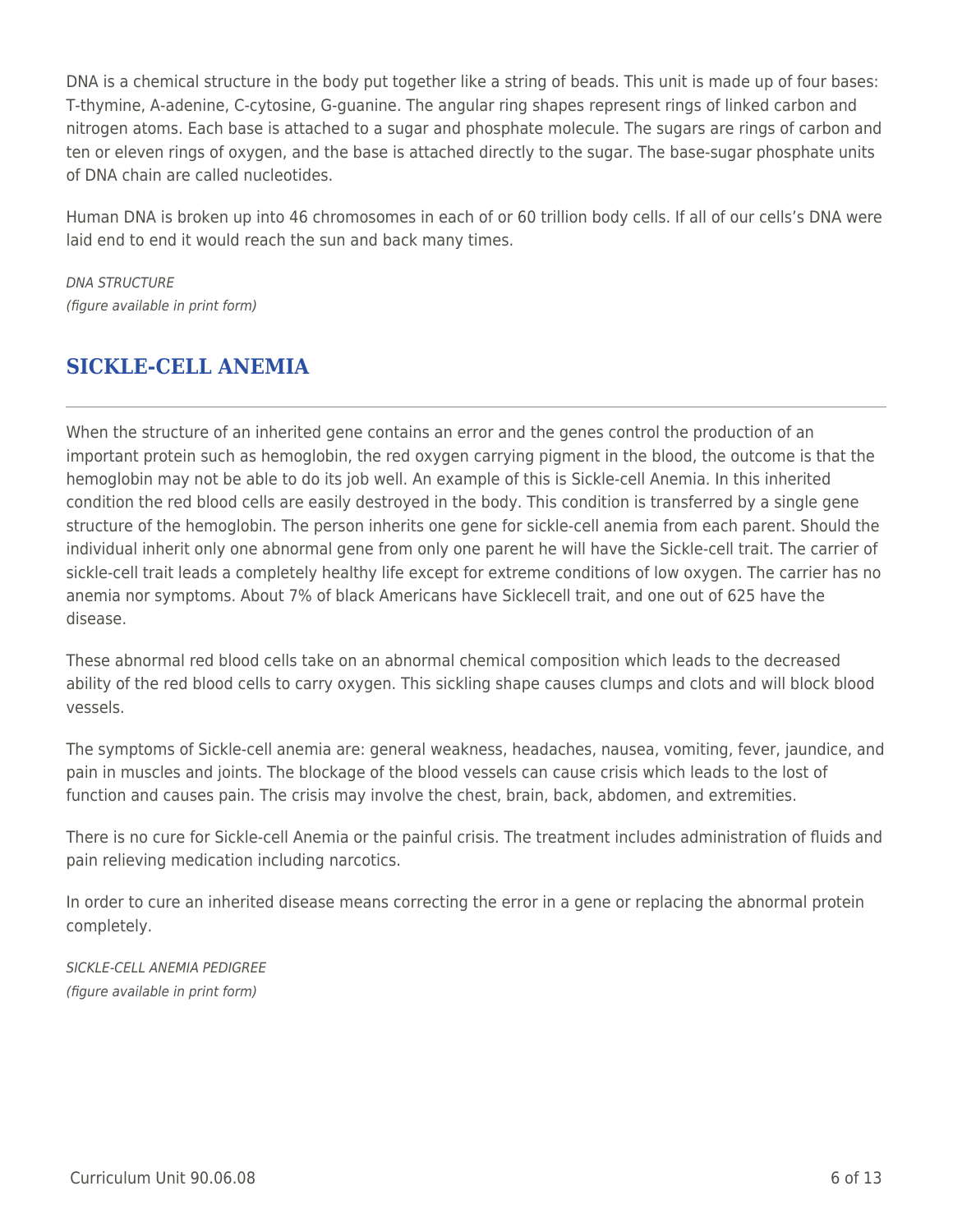DNA is a chemical structure in the body put together like a string of beads. This unit is made up of four bases: T-thymine, A-adenine, C-cytosine, G-guanine. The angular ring shapes represent rings of linked carbon and nitrogen atoms. Each base is attached to a sugar and phosphate molecule. The sugars are rings of carbon and ten or eleven rings of oxygen, and the base is attached directly to the sugar. The base-sugar phosphate units of DNA chain are called nucleotides.

Human DNA is broken up into 46 chromosomes in each of or 60 trillion body cells. If all of our cells's DNA were laid end to end it would reach the sun and back many times.

DNA STRUCTURE (figure available in print form)

# **SICKLE-CELL ANEMIA**

When the structure of an inherited gene contains an error and the genes control the production of an important protein such as hemoglobin, the red oxygen carrying pigment in the blood, the outcome is that the hemoglobin may not be able to do its job well. An example of this is Sickle-cell Anemia. In this inherited condition the red blood cells are easily destroyed in the body. This condition is transferred by a single gene structure of the hemoglobin. The person inherits one gene for sickle-cell anemia from each parent. Should the individual inherit only one abnormal gene from only one parent he will have the Sickle-cell trait. The carrier of sickle-cell trait leads a completely healthy life except for extreme conditions of low oxygen. The carrier has no anemia nor symptoms. About 7% of black Americans have Sicklecell trait, and one out of 625 have the disease.

These abnormal red blood cells take on an abnormal chemical composition which leads to the decreased ability of the red blood cells to carry oxygen. This sickling shape causes clumps and clots and will block blood vessels.

The symptoms of Sickle-cell anemia are: general weakness, headaches, nausea, vomiting, fever, jaundice, and pain in muscles and joints. The blockage of the blood vessels can cause crisis which leads to the lost of function and causes pain. The crisis may involve the chest, brain, back, abdomen, and extremities.

There is no cure for Sickle-cell Anemia or the painful crisis. The treatment includes administration of fluids and pain relieving medication including narcotics.

In order to cure an inherited disease means correcting the error in a gene or replacing the abnormal protein completely.

SICKLE-CELL ANEMIA PEDIGREE (figure available in print form)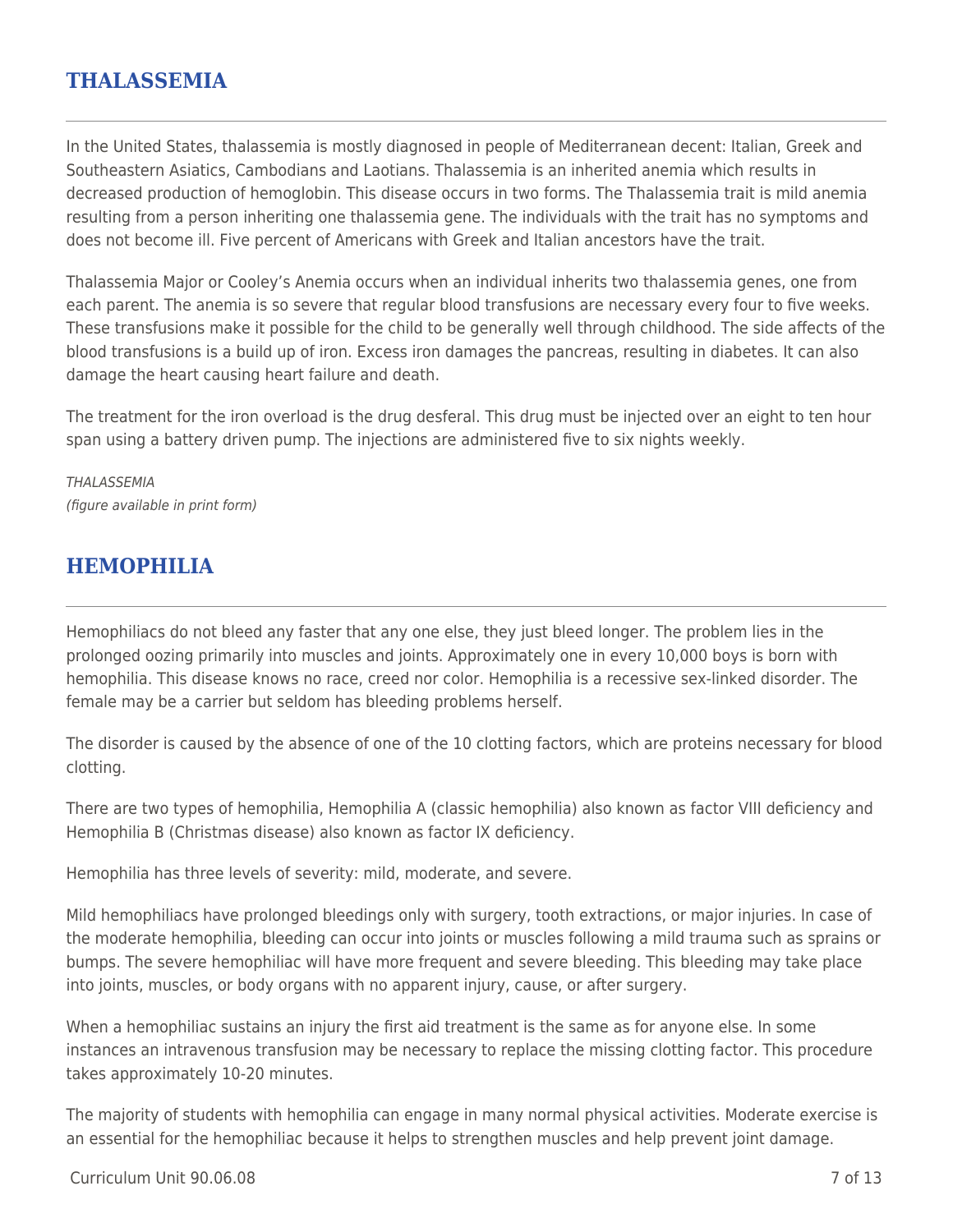## **THALASSEMIA**

In the United States, thalassemia is mostly diagnosed in people of Mediterranean decent: Italian, Greek and Southeastern Asiatics, Cambodians and Laotians. Thalassemia is an inherited anemia which results in decreased production of hemoglobin. This disease occurs in two forms. The Thalassemia trait is mild anemia resulting from a person inheriting one thalassemia gene. The individuals with the trait has no symptoms and does not become ill. Five percent of Americans with Greek and Italian ancestors have the trait.

Thalassemia Major or Cooley's Anemia occurs when an individual inherits two thalassemia genes, one from each parent. The anemia is so severe that regular blood transfusions are necessary every four to five weeks. These transfusions make it possible for the child to be generally well through childhood. The side affects of the blood transfusions is a build up of iron. Excess iron damages the pancreas, resulting in diabetes. It can also damage the heart causing heart failure and death.

The treatment for the iron overload is the drug desferal. This drug must be injected over an eight to ten hour span using a battery driven pump. The injections are administered five to six nights weekly.

**THALASSEMIA** (figure available in print form)

# **HEMOPHILIA**

Hemophiliacs do not bleed any faster that any one else, they just bleed longer. The problem lies in the prolonged oozing primarily into muscles and joints. Approximately one in every 10,000 boys is born with hemophilia. This disease knows no race, creed nor color. Hemophilia is a recessive sex-linked disorder. The female may be a carrier but seldom has bleeding problems herself.

The disorder is caused by the absence of one of the 10 clotting factors, which are proteins necessary for blood clotting.

There are two types of hemophilia, Hemophilia A (classic hemophilia) also known as factor VIII deficiency and Hemophilia B (Christmas disease) also known as factor IX deficiency.

Hemophilia has three levels of severity: mild, moderate, and severe.

Mild hemophiliacs have prolonged bleedings only with surgery, tooth extractions, or major injuries. In case of the moderate hemophilia, bleeding can occur into joints or muscles following a mild trauma such as sprains or bumps. The severe hemophiliac will have more frequent and severe bleeding. This bleeding may take place into joints, muscles, or body organs with no apparent injury, cause, or after surgery.

When a hemophiliac sustains an injury the first aid treatment is the same as for anyone else. In some instances an intravenous transfusion may be necessary to replace the missing clotting factor. This procedure takes approximately 10-20 minutes.

The majority of students with hemophilia can engage in many normal physical activities. Moderate exercise is an essential for the hemophiliac because it helps to strengthen muscles and help prevent joint damage.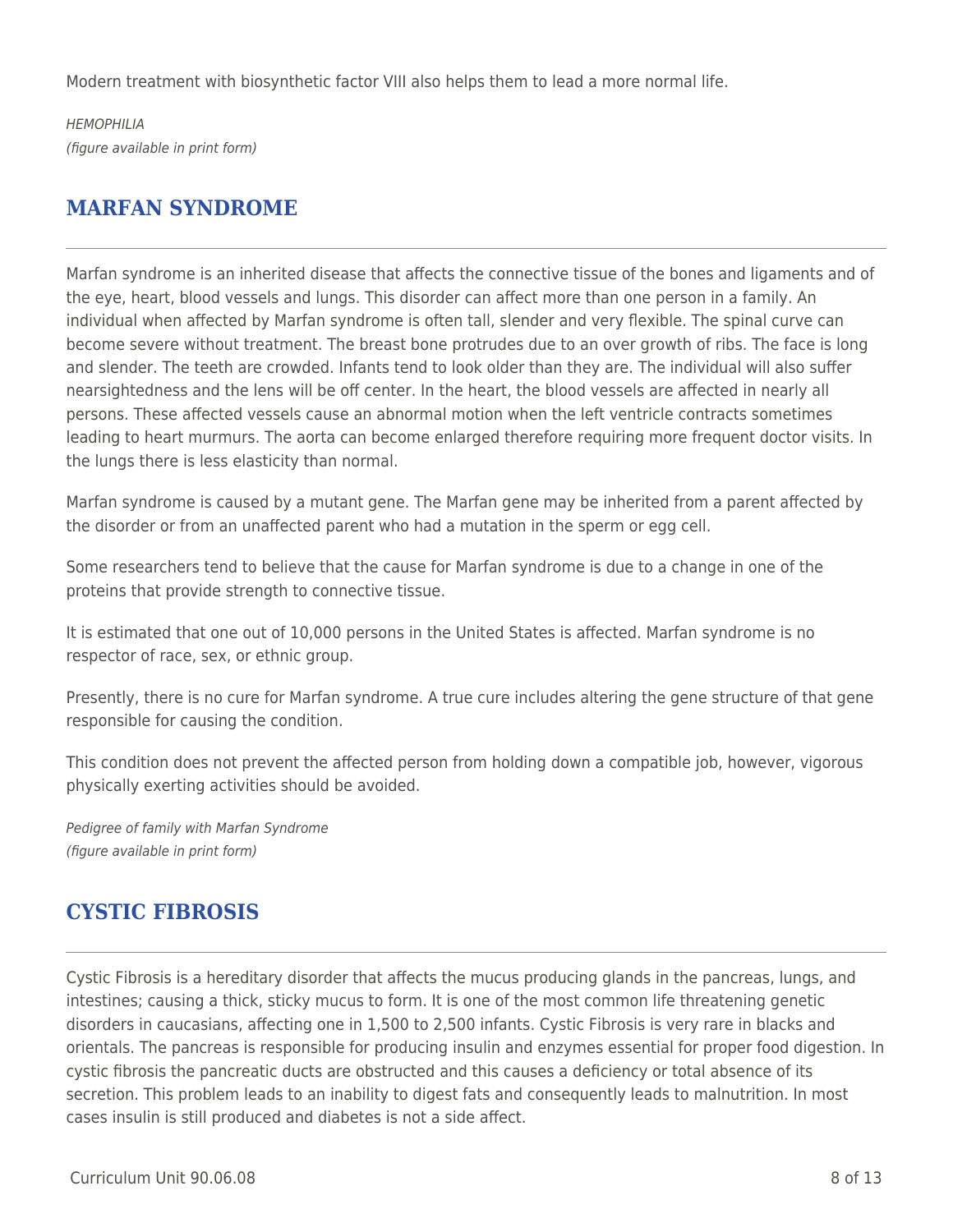Modern treatment with biosynthetic factor VIII also helps them to lead a more normal life.

HFMOPHII IA (figure available in print form)

# **MARFAN SYNDROME**

Marfan syndrome is an inherited disease that affects the connective tissue of the bones and ligaments and of the eye, heart, blood vessels and lungs. This disorder can affect more than one person in a family. An individual when affected by Marfan syndrome is often tall, slender and very flexible. The spinal curve can become severe without treatment. The breast bone protrudes due to an over growth of ribs. The face is long and slender. The teeth are crowded. Infants tend to look older than they are. The individual will also suffer nearsightedness and the lens will be off center. In the heart, the blood vessels are affected in nearly all persons. These affected vessels cause an abnormal motion when the left ventricle contracts sometimes leading to heart murmurs. The aorta can become enlarged therefore requiring more frequent doctor visits. In the lungs there is less elasticity than normal.

Marfan syndrome is caused by a mutant gene. The Marfan gene may be inherited from a parent affected by the disorder or from an unaffected parent who had a mutation in the sperm or egg cell.

Some researchers tend to believe that the cause for Marfan syndrome is due to a change in one of the proteins that provide strength to connective tissue.

It is estimated that one out of 10,000 persons in the United States is affected. Marfan syndrome is no respector of race, sex, or ethnic group.

Presently, there is no cure for Marfan syndrome. A true cure includes altering the gene structure of that gene responsible for causing the condition.

This condition does not prevent the affected person from holding down a compatible job, however, vigorous physically exerting activities should be avoided.

Pedigree of family with Marfan Syndrome (figure available in print form)

# **CYSTIC FIBROSIS**

Cystic Fibrosis is a hereditary disorder that affects the mucus producing glands in the pancreas, lungs, and intestines; causing a thick, sticky mucus to form. It is one of the most common life threatening genetic disorders in caucasians, affecting one in 1,500 to 2,500 infants. Cystic Fibrosis is very rare in blacks and orientals. The pancreas is responsible for producing insulin and enzymes essential for proper food digestion. In cystic fibrosis the pancreatic ducts are obstructed and this causes a deficiency or total absence of its secretion. This problem leads to an inability to digest fats and consequently leads to malnutrition. In most cases insulin is still produced and diabetes is not a side affect.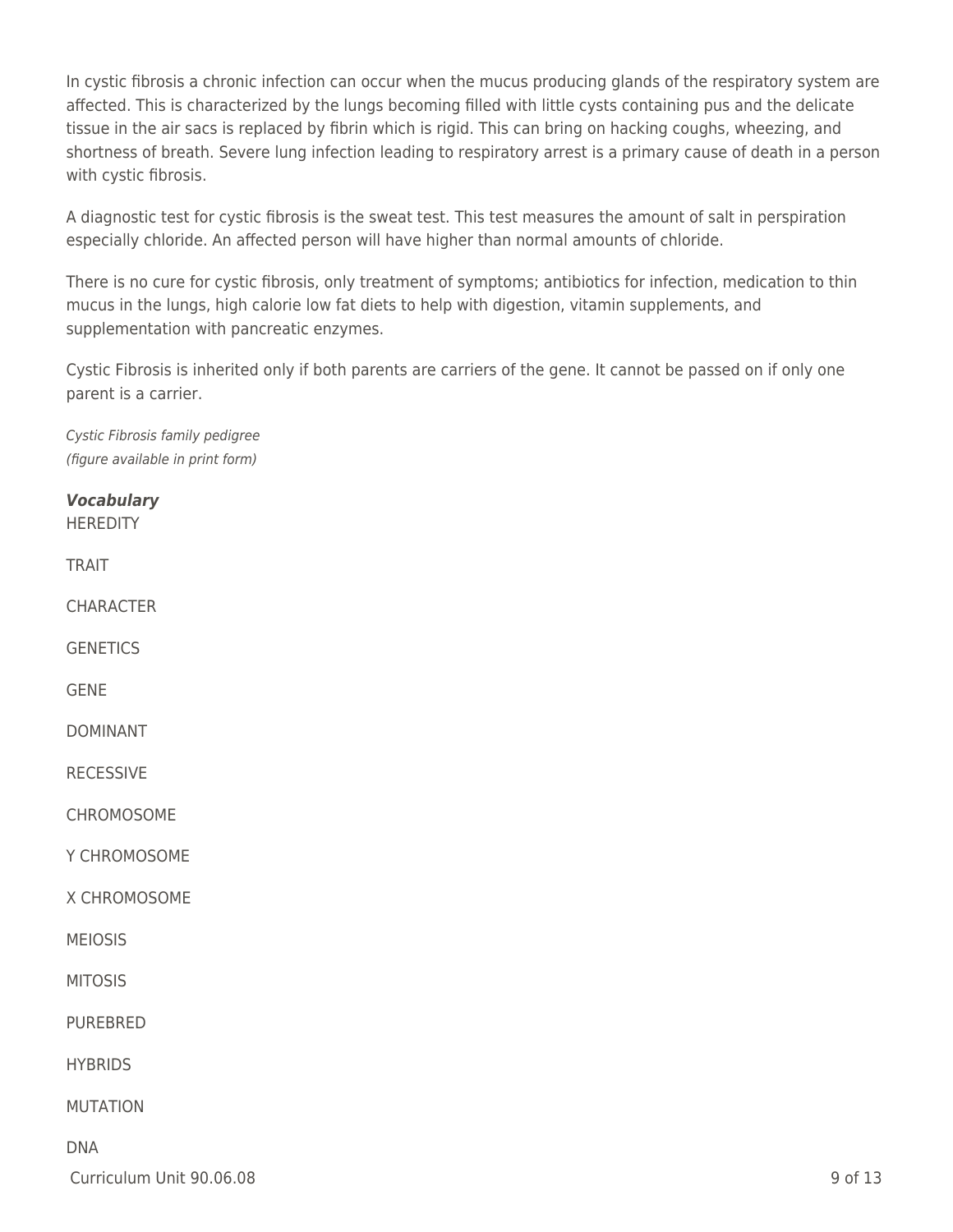In cystic fibrosis a chronic infection can occur when the mucus producing glands of the respiratory system are affected. This is characterized by the lungs becoming filled with little cysts containing pus and the delicate tissue in the air sacs is replaced by fibrin which is rigid. This can bring on hacking coughs, wheezing, and shortness of breath. Severe lung infection leading to respiratory arrest is a primary cause of death in a person with cystic fibrosis.

A diagnostic test for cystic fibrosis is the sweat test. This test measures the amount of salt in perspiration especially chloride. An affected person will have higher than normal amounts of chloride.

There is no cure for cystic fibrosis, only treatment of symptoms; antibiotics for infection, medication to thin mucus in the lungs, high calorie low fat diets to help with digestion, vitamin supplements, and supplementation with pancreatic enzymes.

Cystic Fibrosis is inherited only if both parents are carriers of the gene. It cannot be passed on if only one parent is a carrier.

Cystic Fibrosis family pedigree (figure available in print form)

*Vocabulary* **HEREDITY** 

TRAIT

**CHARACTER** 

**GENETICS** 

GENE

DOMINANT

RECESSIVE

**CHROMOSOME** 

Y CHROMOSOME

X CHROMOSOME

MEIOSIS

MITOSIS

PUREBRED

**HYBRIDS** 

MUTATION

### DNA

 $C$ urriculum Unit 90.06.08 9 of 13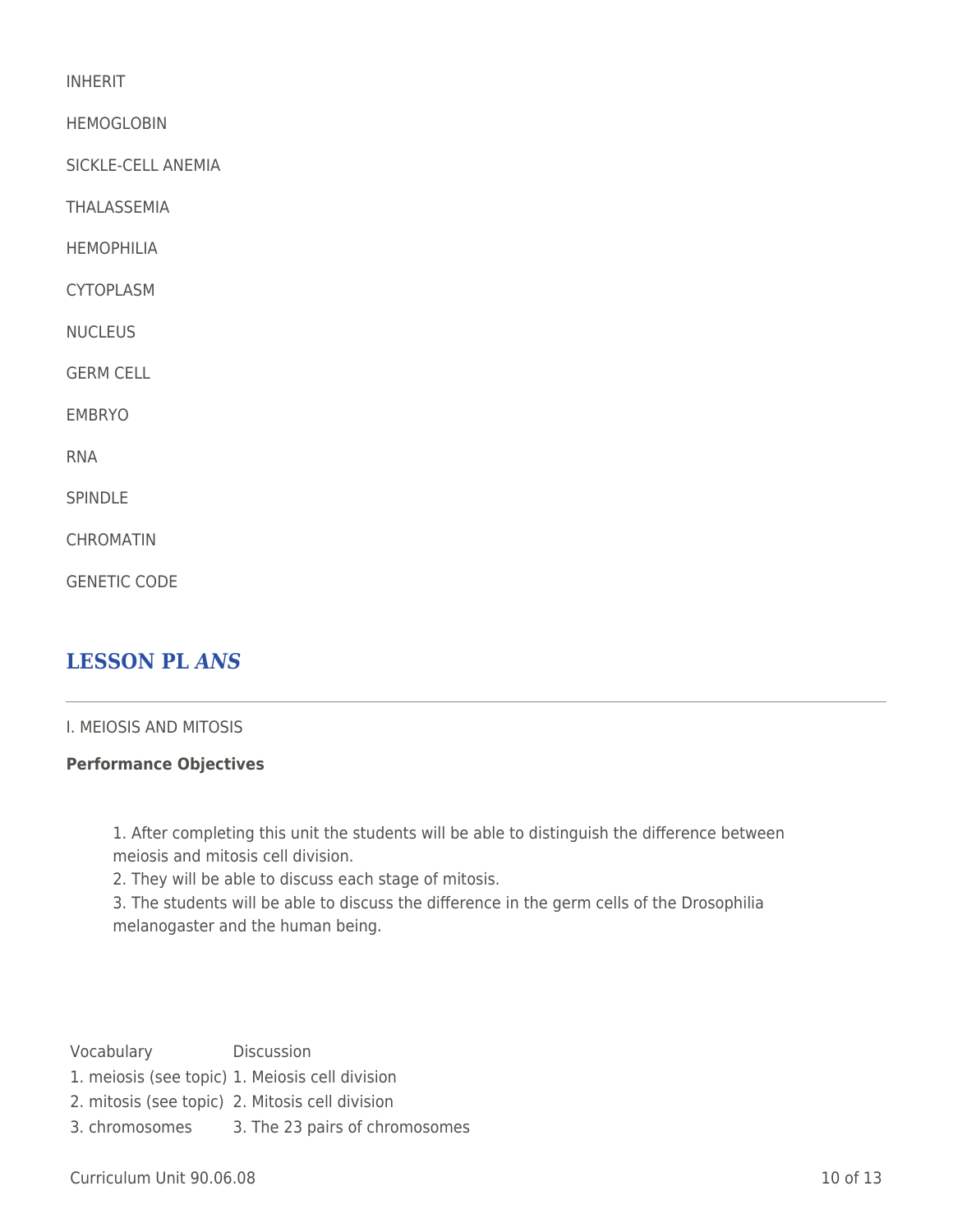INHERIT

HEMOGLOBIN

SICKLE-CELL ANEMIA

THALASSEMIA

HEMOPHILIA

CYTOPLASM

**NUCLEUS** 

GERM CELL

EMBRYO

RNA

SPINDLE

**CHROMATIN** 

GENETIC CODE

## **LESSON PL** *ANS*

### I. MEIOSIS AND MITOSIS

### **Performance Objectives**

1. After completing this unit the students will be able to distinguish the difference between meiosis and mitosis cell division.

2. They will be able to discuss each stage of mitosis.

3. The students will be able to discuss the difference in the germ cells of the Drosophilia melanogaster and the human being.

- Vocabulary Discussion
- 1. meiosis (see topic) 1. Meiosis cell division
- 2. mitosis (see topic) 2. Mitosis cell division
- 3. chromosomes 3. The 23 pairs of chromosomes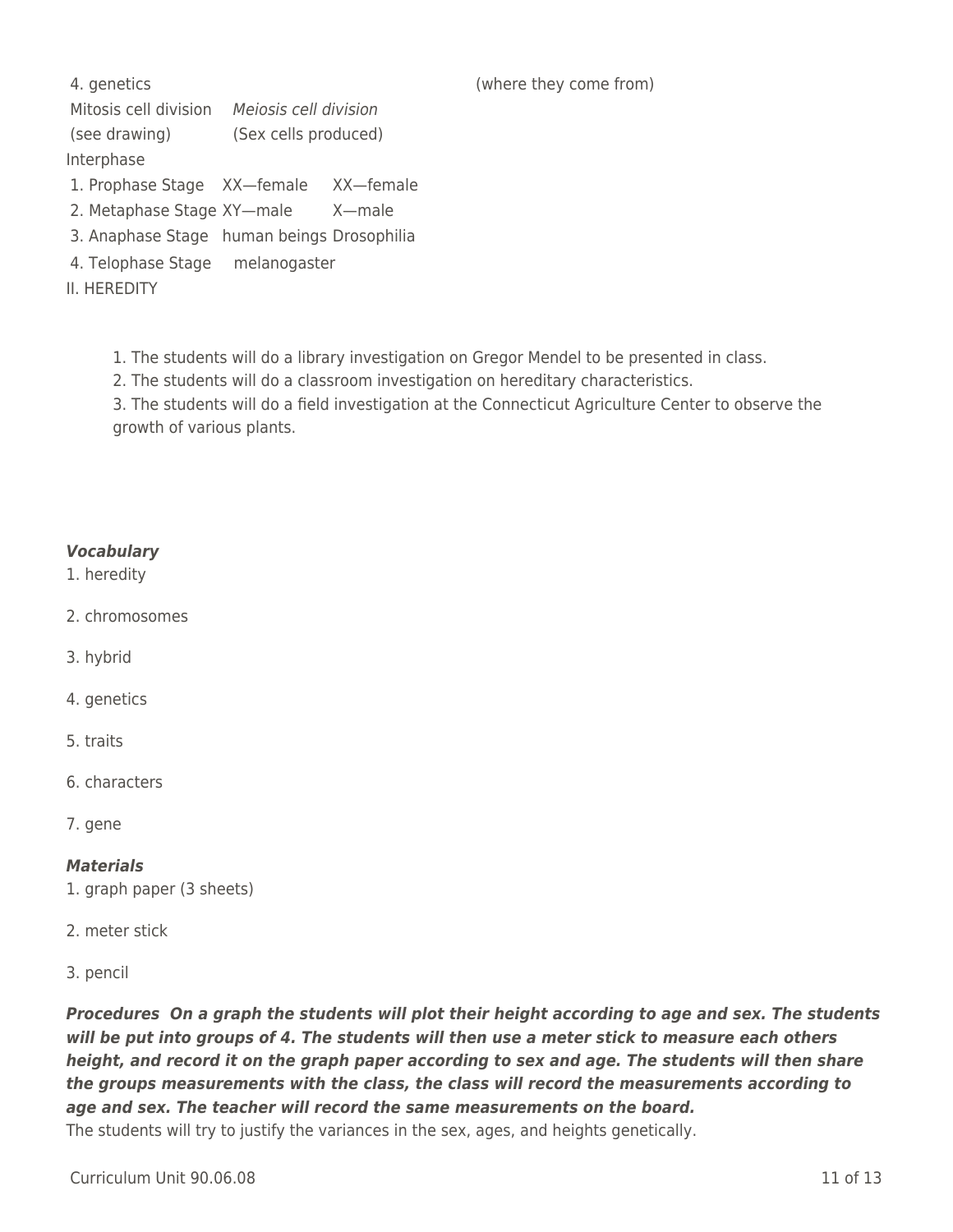Mitosis cell division Meiosis cell division (see drawing) (Sex cells produced) Interphase

- 1. Prophase Stage XX—female XX—female
- 2. Metaphase Stage XY—male X—male
- 3. Anaphase Stage human beings Drosophilia
- 4. Telophase Stage melanogaster
- II. HEREDITY

1. The students will do a library investigation on Gregor Mendel to be presented in class.

2. The students will do a classroom investigation on hereditary characteristics.

3. The students will do a field investigation at the Connecticut Agriculture Center to observe the growth of various plants.

### *Vocabulary*

- 1. heredity
- 2. chromosomes
- 3. hybrid
- 4. genetics
- 5. traits
- 6. characters
- 7. gene

### *Materials*

- 1. graph paper (3 sheets)
- 2. meter stick
- 3. pencil

*Procedures On a graph the students will plot their height according to age and sex. The students will be put into groups of 4. The students will then use a meter stick to measure each others height, and record it on the graph paper according to sex and age. The students will then share the groups measurements with the class, the class will record the measurements according to age and sex. The teacher will record the same measurements on the board.* The students will try to justify the variances in the sex, ages, and heights genetically.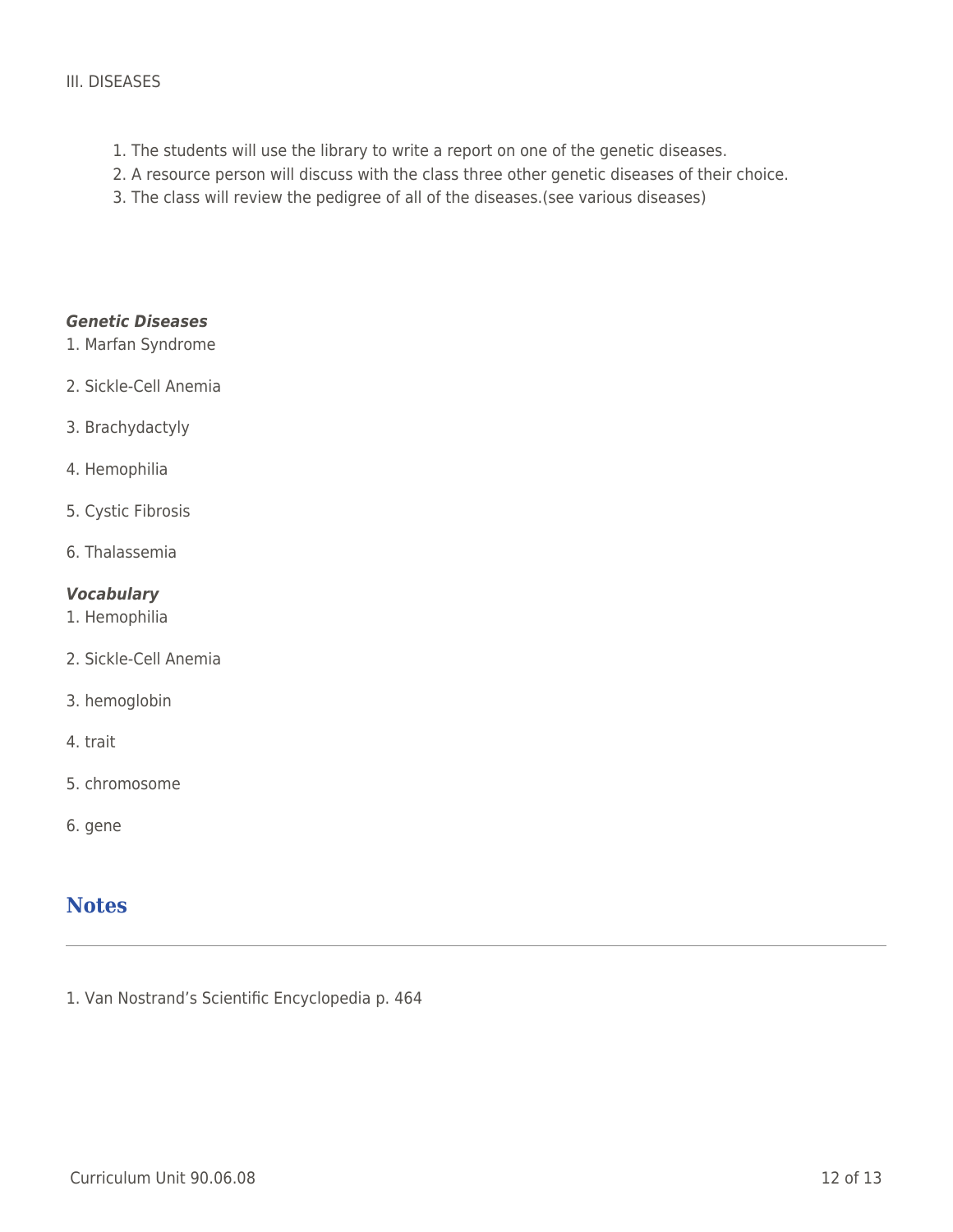### III. DISEASES

- 1. The students will use the library to write a report on one of the genetic diseases.
- 2. A resource person will discuss with the class three other genetic diseases of their choice.
- 3. The class will review the pedigree of all of the diseases.(see various diseases)

### *Genetic Diseases*

- 1. Marfan Syndrome
- 2. Sickle-Cell Anemia
- 3. Brachydactyly
- 4. Hemophilia
- 5. Cystic Fibrosis
- 6. Thalassemia

### *Vocabulary*

- 1. Hemophilia
- 2. Sickle-Cell Anemia
- 3. hemoglobin
- 4. trait
- 5. chromosome
- 6. gene

### **Notes**

1. Van Nostrand's Scientific Encyclopedia p. 464